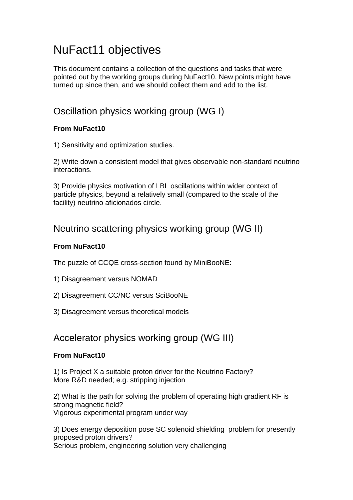# NuFact11 objectives

This document contains a collection of the questions and tasks that were pointed out by the working groups during NuFact10. New points might have turned up since then, and we should collect them and add to the list.

# Oscillation physics working group (WG I)

#### **From NuFact10**

1) Sensitivity and optimization studies.

2) Write down a consistent model that gives observable non-standard neutrino interactions.

3) Provide physics motivation of LBL oscillations within wider context of particle physics, beyond a relatively small (compared to the scale of the facility) neutrino aficionados circle.

### Neutrino scattering physics working group (WG II)

#### **From NuFact10**

The puzzle of CCQE cross-section found by MiniBooNE:

- 1) Disagreement versus NOMAD
- 2) Disagreement CC/NC versus SciBooNE
- 3) Disagreement versus theoretical models

### Accelerator physics working group (WG III)

#### **From NuFact10**

1) Is Project X a suitable proton driver for the Neutrino Factory? More R&D needed; e.g. stripping injection

2) What is the path for solving the problem of operating high gradient RF is strong magnetic field? Vigorous experimental program under way

3) Does energy deposition pose SC solenoid shielding problem for presently proposed proton drivers? Serious problem, engineering solution very challenging